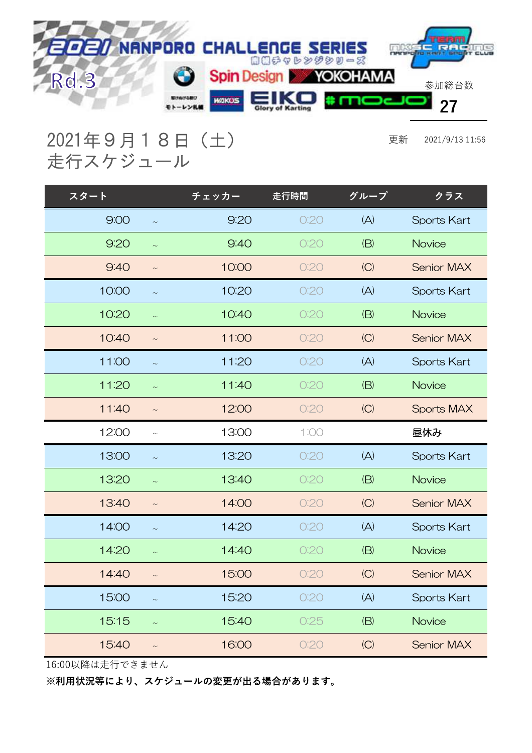

2021年9月18日(土) 更新 2021/9/13 11:56 走行スケジュール

| スタート  |        | チェッカー | 走行時間 | グループ | クラス                |
|-------|--------|-------|------|------|--------------------|
| 9:00  | $\sim$ | 9:20  | O:2O | (A)  | <b>Sports Kart</b> |
| 9:20  | $\sim$ | 9:40  | O:2O | (B)  | Novice             |
| 9:40  | $\sim$ | 10:00 | O:2O | (C)  | <b>Senior MAX</b>  |
| 10:00 | $\sim$ | 10:20 | O:2O | (A)  | <b>Sports Kart</b> |
| 10:20 | $\sim$ | 10:40 | O:2O | (B)  | Novice             |
| 10:40 | $\sim$ | 11:00 | O:2O | (C)  | <b>Senior MAX</b>  |
| 11:00 | $\sim$ | 11:20 | O:2O | (A)  | <b>Sports Kart</b> |
| 11:20 | $\sim$ | 11:40 | O:20 | (B)  | Novice             |
| 11:40 | $\sim$ | 12:00 | O:2O | (C)  | <b>Sports MAX</b>  |
|       |        |       |      |      |                    |
| 12:00 | $\sim$ | 13:00 | 1:00 |      | 昼休み                |
| 13:00 | $\sim$ | 13:20 | O:2O | (A)  | <b>Sports Kart</b> |
| 13:20 | $\sim$ | 13:40 | O:20 | (B)  | Novice             |
| 13:40 | $\sim$ | 14:00 | O:20 | (C)  | <b>Senior MAX</b>  |
| 14:00 | $\sim$ | 14:20 | O:2O | (A)  | <b>Sports Kart</b> |
| 14:20 | $\sim$ | 14:40 | O:2O | (B)  | Novice             |
| 14:40 | $\sim$ | 15:00 | O:20 | (C)  | <b>Senior MAX</b>  |
| 15:00 | $\sim$ | 15:20 | O:2O | (A)  | <b>Sports Kart</b> |
| 15:15 | $\sim$ | 15:40 | 0:25 | (B)  | Novice             |

16:00以降は走行できません

※利用状況等により、スケジュールの変更が出る場合があります。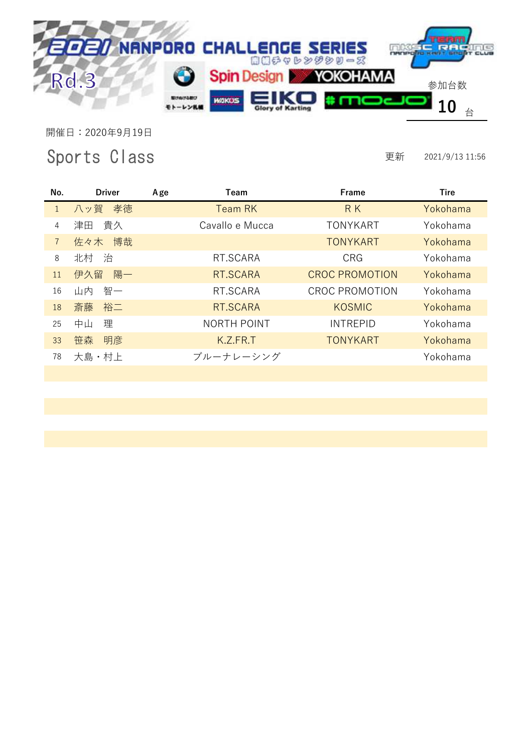

## Sports Class

| No.            | <b>Driver</b> | Age | Team            | Frame                 | <b>Tire</b> |
|----------------|---------------|-----|-----------------|-----------------------|-------------|
| $\mathbf{1}$   | 八ッ賀 孝徳        |     | Team RK         | <b>RK</b>             | Yokohama    |
| 4              | 津田 貴久         |     | Cavallo e Mucca | <b>TONYKART</b>       | Yokohama    |
| $\overline{7}$ | 博哉<br>佐々木     |     |                 | <b>TONYKART</b>       | Yokohama    |
| 8              | 北村 治          |     | RT.SCARA        | <b>CRG</b>            | Yokohama    |
| 11             | 陽一<br>伊久留     |     | RT.SCARA        | <b>CROC PROMOTION</b> | Yokohama    |
| 16             | 智一<br>山内      |     | RT.SCARA        | <b>CROC PROMOTION</b> | Yokohama    |
| 18             | 裕二<br>斎藤      |     | RT.SCARA        | <b>KOSMIC</b>         | Yokohama    |
| 25             | 中山<br>理       |     | NORTH POINT     | <b>INTREPID</b>       | Yokohama    |
| 33             | 明彦<br>笹森      |     | K.Z.FR.T        | <b>TONYKART</b>       | Yokohama    |
| 78             | 大島・村上         |     | ブルーナレーシング       |                       | Yokohama    |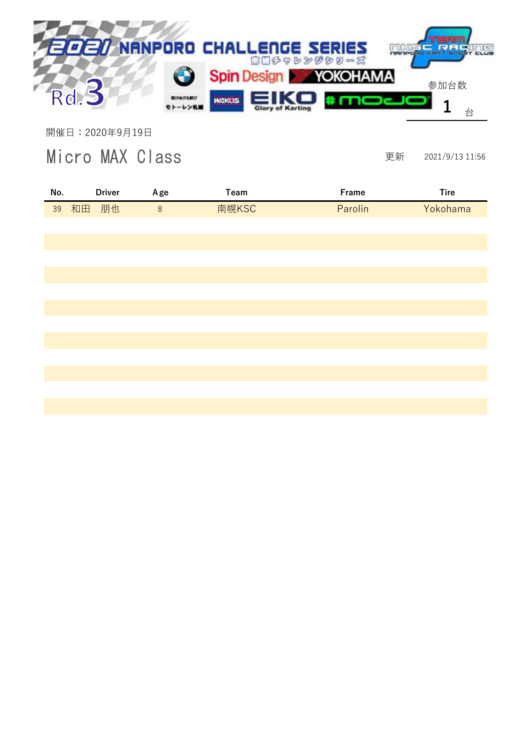

Micro MAX Class

| No. |          | <b>Driver</b> | Age     | Team  | Frame   | <b>Tire</b> |
|-----|----------|---------------|---------|-------|---------|-------------|
|     | 39 和田 朋也 |               | $\,8\,$ | 南幌KSC | Parolin | Yokohama    |
|     |          |               |         |       |         |             |
|     |          |               |         |       |         |             |
|     |          |               |         |       |         |             |
|     |          |               |         |       |         |             |
|     |          |               |         |       |         |             |
|     |          |               |         |       |         |             |
|     |          |               |         |       |         |             |
|     |          |               |         |       |         |             |
|     |          |               |         |       |         |             |
|     |          |               |         |       |         |             |
|     |          |               |         |       |         |             |
|     |          |               |         |       |         |             |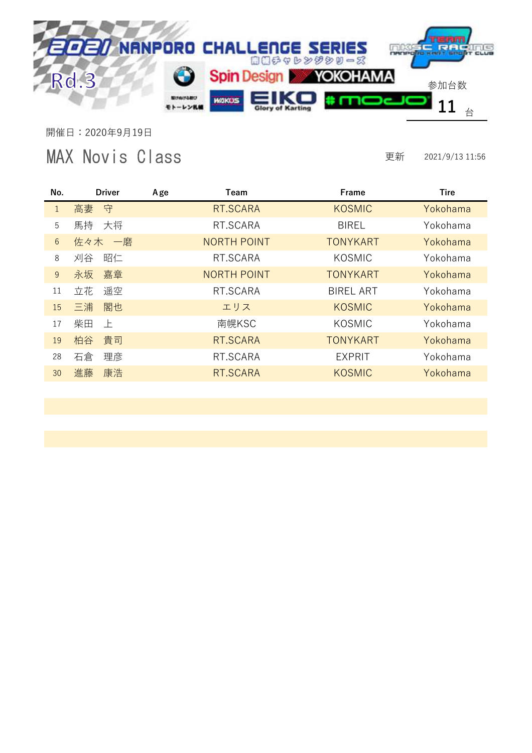

## MAX Novis Class

| No.             | <b>Driver</b> | Age | Team               | Frame            | Tire     |
|-----------------|---------------|-----|--------------------|------------------|----------|
| $\mathbf{1}$    | 守<br>高妻       |     | RT.SCARA           | <b>KOSMIC</b>    | Yokohama |
| 5               | 馬持<br>大将      |     | RT.SCARA           | <b>BIREL</b>     | Yokohama |
| $6\overline{6}$ | 佐々木<br>一磨     |     | <b>NORTH POINT</b> | <b>TONYKART</b>  | Yokohama |
| 8               | 刈谷<br>昭仁      |     | RT.SCARA           | <b>KOSMIC</b>    | Yokohama |
| 9               | 嘉章<br>永坂      |     | <b>NORTH POINT</b> | <b>TONYKART</b>  | Yokohama |
| 11              | 遥空<br>立花      |     | RT.SCARA           | <b>BIREL ART</b> | Yokohama |
| 15              | 閣也<br>三浦      |     | エリス                | <b>KOSMIC</b>    | Yokohama |
| 17              | 柴田<br>上       |     | 南幌KSC              | <b>KOSMIC</b>    | Yokohama |
| 19              | 貴司<br>柏谷      |     | RT.SCARA           | <b>TONYKART</b>  | Yokohama |
| 28              | 石倉<br>理彦      |     | RT.SCARA           | <b>EXPRIT</b>    | Yokohama |
| 30              | 進藤<br>康浩      |     | RT.SCARA           | <b>KOSMIC</b>    | Yokohama |
|                 |               |     |                    |                  |          |